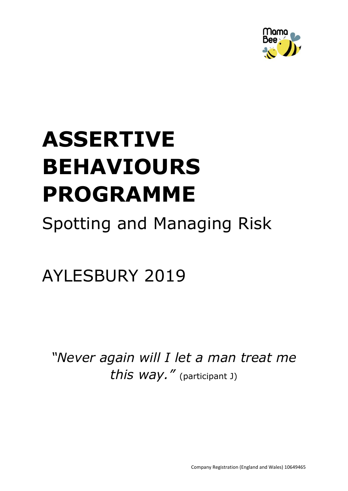

# **ASSERTIVE BEHAVIOURS PROGRAMME**

# Spotting and Managing Risk

## AYLESBURY 2019

*"Never again will I let a man treat me this way."* (participant J)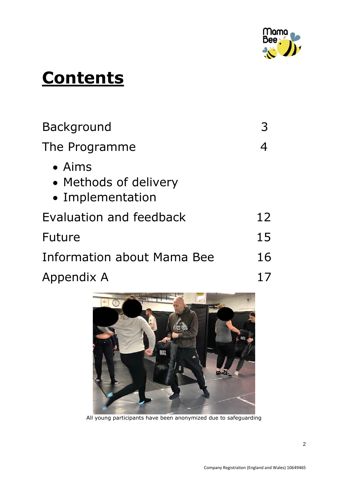

# **Contents**

| Background<br>3<br>The Programme<br>$\bullet$ Aims<br>• Methods of delivery<br>• Implementation<br>Evaluation and feedback<br>Future<br>Information about Mama Bee<br>Appendix A |    |
|----------------------------------------------------------------------------------------------------------------------------------------------------------------------------------|----|
|                                                                                                                                                                                  |    |
|                                                                                                                                                                                  |    |
|                                                                                                                                                                                  |    |
|                                                                                                                                                                                  | 12 |
|                                                                                                                                                                                  | 15 |
|                                                                                                                                                                                  | 16 |
|                                                                                                                                                                                  |    |



All young participants have been anonymized due to safeguarding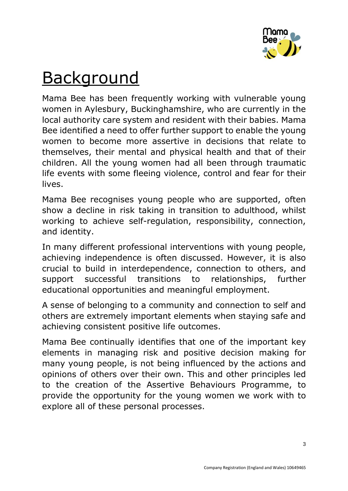

# Background

Mama Bee has been frequently working with vulnerable young women in Aylesbury, Buckinghamshire, who are currently in the local authority care system and resident with their babies. Mama Bee identified a need to offer further support to enable the young women to become more assertive in decisions that relate to themselves, their mental and physical health and that of their children. All the young women had all been through traumatic life events with some fleeing violence, control and fear for their lives.

Mama Bee recognises young people who are supported, often show a decline in risk taking in transition to adulthood, whilst working to achieve self-regulation, responsibility, connection, and identity.

In many different professional interventions with young people, achieving independence is often discussed. However, it is also crucial to build in interdependence, connection to others, and support successful transitions to relationships, further educational opportunities and meaningful employment.

A sense of belonging to a community and connection to self and others are extremely important elements when staying safe and achieving consistent positive life outcomes.

Mama Bee continually identifies that one of the important key elements in managing risk and positive decision making for many young people, is not being influenced by the actions and opinions of others over their own. This and other principles led to the creation of the Assertive Behaviours Programme, to provide the opportunity for the young women we work with to explore all of these personal processes.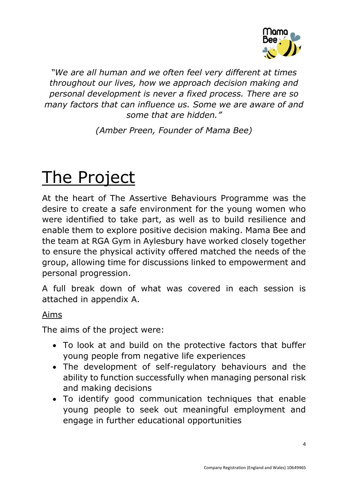

*"We are all human and we often feel very different at times throughout our lives, how we approach decision making and personal development is never a fixed process. There are so many factors that can influence us. Some we are aware of and some that are hidden."*

*(Amber Preen, Founder of Mama Bee)*

# The Project

At the heart of The Assertive Behaviours Programme was the desire to create a safe environment for the young women who were identified to take part, as well as to build resilience and enable them to explore positive decision making. Mama Bee and the team at RGA Gym in Aylesbury have worked closely together to ensure the physical activity offered matched the needs of the group, allowing time for discussions linked to empowerment and personal progression.

A full break down of what was covered in each session is attached in appendix A.

### Aims

The aims of the project were:

- To look at and build on the protective factors that buffer young people from negative life experiences
- The development of self-regulatory behaviours and the ability to function successfully when managing personal risk and making decisions
- To identify good communication techniques that enable young people to seek out meaningful employment and engage in further educational opportunities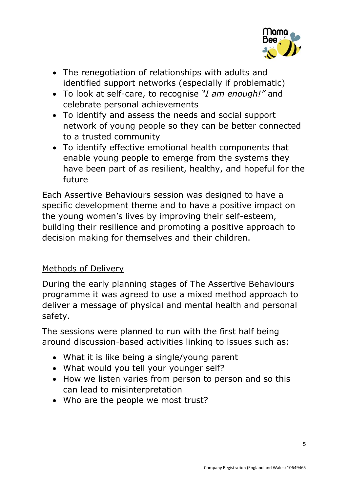

- The renegotiation of relationships with adults and identified support networks (especially if problematic)
- To look at self-care, to recognise *"I am enough!"* and celebrate personal achievements
- To identify and assess the needs and social support network of young people so they can be better connected to a trusted community
- To identify effective emotional health components that enable young people to emerge from the systems they have been part of as resilient, healthy, and hopeful for the future

Each Assertive Behaviours session was designed to have a specific development theme and to have a positive impact on the young women's lives by improving their self-esteem, building their resilience and promoting a positive approach to decision making for themselves and their children.

### Methods of Delivery

During the early planning stages of The Assertive Behaviours programme it was agreed to use a mixed method approach to deliver a message of physical and mental health and personal safety.

The sessions were planned to run with the first half being around discussion-based activities linking to issues such as:

- What it is like being a single/young parent
- What would you tell your younger self?
- How we listen varies from person to person and so this can lead to misinterpretation
- Who are the people we most trust?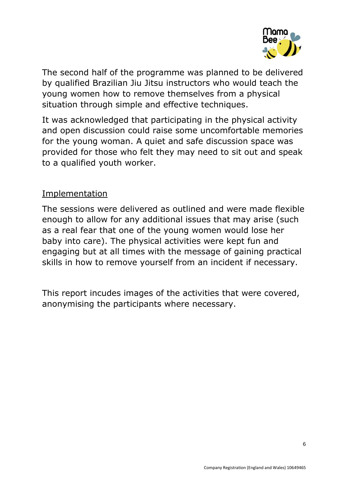

The second half of the programme was planned to be delivered by qualified Brazilian Jiu Jitsu instructors who would teach the young women how to remove themselves from a physical situation through simple and effective techniques.

It was acknowledged that participating in the physical activity and open discussion could raise some uncomfortable memories for the young woman. A quiet and safe discussion space was provided for those who felt they may need to sit out and speak to a qualified youth worker.

#### Implementation

The sessions were delivered as outlined and were made flexible enough to allow for any additional issues that may arise (such as a real fear that one of the young women would lose her baby into care). The physical activities were kept fun and engaging but at all times with the message of gaining practical skills in how to remove yourself from an incident if necessary.

This report incudes images of the activities that were covered, anonymising the participants where necessary.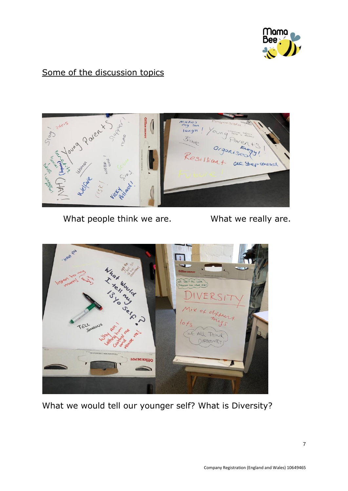

### Some of the discussion topics



What people think we are. What we really are.



What we would tell our younger self? What is Diversity?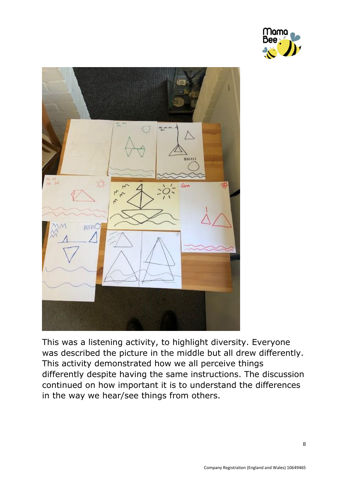



This was a listening activity, to highlight diversity. Everyone was described the picture in the middle but all drew differently. This activity demonstrated how we all perceive things differently despite having the same instructions. The discussion continued on how important it is to understand the differences in the way we hear/see things from others.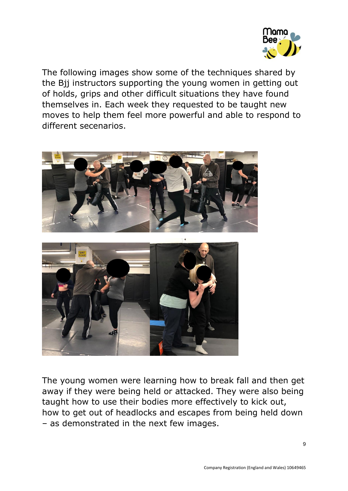

The following images show some of the techniques shared by the Bjj instructors supporting the young women in getting out of holds, grips and other difficult situations they have found themselves in. Each week they requested to be taught new moves to help them feel more powerful and able to respond to different secenarios.





The young women were learning how to break fall and then get away if they were being held or attacked. They were also being taught how to use their bodies more effectively to kick out, how to get out of headlocks and escapes from being held down – as demonstrated in the next few images.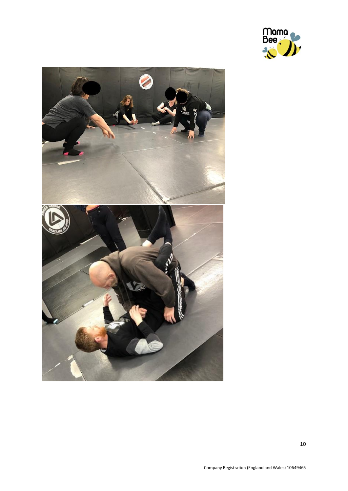

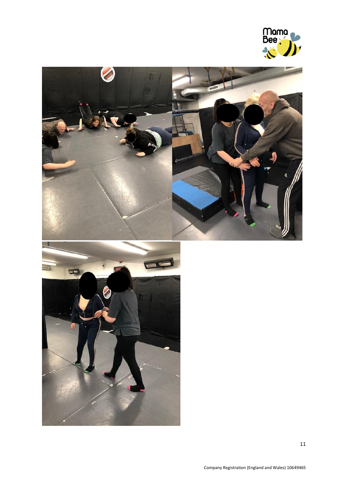

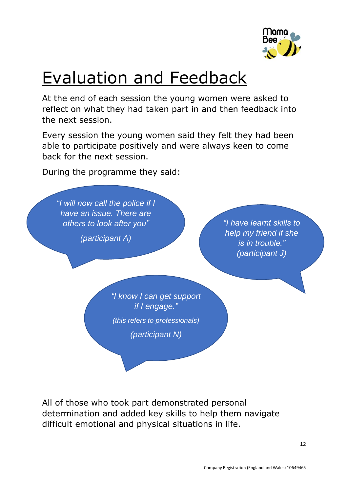

# Evaluation and Feedback

At the end of each session the young women were asked to reflect on what they had taken part in and then feedback into the next session.

Every session the young women said they felt they had been able to participate positively and were always keen to come back for the next session.

During the programme they said:



All of those who took part demonstrated personal determination and added key skills to help them navigate difficult emotional and physical situations in life.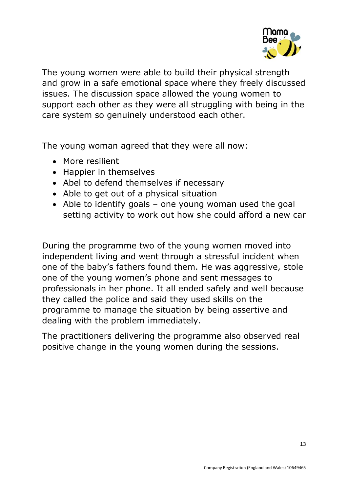

The young women were able to build their physical strength and grow in a safe emotional space where they freely discussed issues. The discussion space allowed the young women to support each other as they were all struggling with being in the care system so genuinely understood each other.

The young woman agreed that they were all now:

- More resilient
- Happier in themselves
- Abel to defend themselves if necessary
- Able to get out of a physical situation
- Able to identify goals one young woman used the goal setting activity to work out how she could afford a new car

During the programme two of the young women moved into independent living and went through a stressful incident when one of the baby's fathers found them. He was aggressive, stole one of the young women's phone and sent messages to professionals in her phone. It all ended safely and well because they called the police and said they used skills on the programme to manage the situation by being assertive and dealing with the problem immediately.

The practitioners delivering the programme also observed real positive change in the young women during the sessions.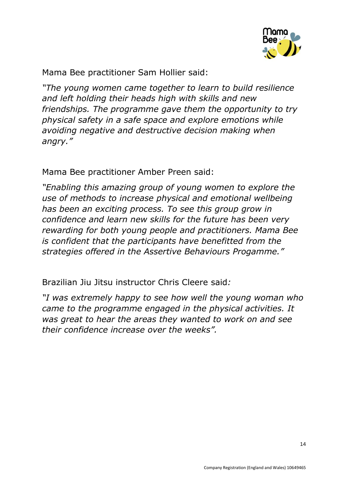

Mama Bee practitioner Sam Hollier said:

*"The young women came together to learn to build resilience and left holding their heads high with skills and new friendships. The programme gave them the opportunity to try physical safety in a safe space and explore emotions while avoiding negative and destructive decision making when angry."*

Mama Bee practitioner Amber Preen said:

*"Enabling this amazing group of young women to explore the use of methods to increase physical and emotional wellbeing has been an exciting process. To see this group grow in confidence and learn new skills for the future has been very rewarding for both young people and practitioners. Mama Bee is confident that the participants have benefitted from the strategies offered in the Assertive Behaviours Progamme."*

Brazilian Jiu Jitsu instructor Chris Cleere said*:*

*"I was extremely happy to see how well the young woman who came to the programme engaged in the physical activities. It was great to hear the areas they wanted to work on and see their confidence increase over the weeks".*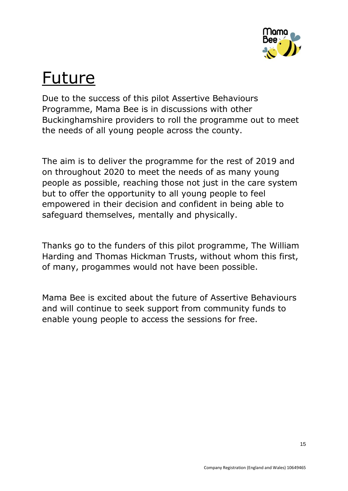

### Future

Due to the success of this pilot Assertive Behaviours Programme, Mama Bee is in discussions with other Buckinghamshire providers to roll the programme out to meet the needs of all young people across the county.

The aim is to deliver the programme for the rest of 2019 and on throughout 2020 to meet the needs of as many young people as possible, reaching those not just in the care system but to offer the opportunity to all young people to feel empowered in their decision and confident in being able to safeguard themselves, mentally and physically.

Thanks go to the funders of this pilot programme, The William Harding and Thomas Hickman Trusts, without whom this first, of many, progammes would not have been possible.

Mama Bee is excited about the future of Assertive Behaviours and will continue to seek support from community funds to enable young people to access the sessions for free.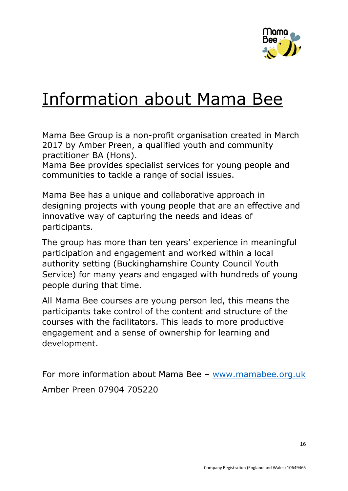

### Information about Mama Bee

Mama Bee Group is a non-profit organisation created in March 2017 by Amber Preen, a qualified youth and community practitioner BA (Hons).

Mama Bee provides specialist services for young people and communities to tackle a range of social issues.

Mama Bee has a unique and collaborative approach in designing projects with young people that are an effective and innovative way of capturing the needs and ideas of participants.

The group has more than ten years' experience in meaningful participation and engagement and worked within a local authority setting (Buckinghamshire County Council Youth Service) for many years and engaged with hundreds of young people during that time.

All Mama Bee courses are young person led, this means the participants take control of the content and structure of the courses with the facilitators. This leads to more productive engagement and a sense of ownership for learning and development.

For more information about Mama Bee – [www.mamabee.org.uk](http://www.mamabee.org.uk/) Amber Preen 07904 705220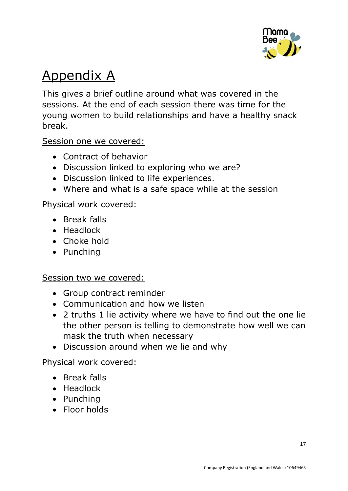

### Appendix A

This gives a brief outline around what was covered in the sessions. At the end of each session there was time for the young women to build relationships and have a healthy snack break.

Session one we covered:

- Contract of behavior
- Discussion linked to exploring who we are?
- Discussion linked to life experiences.
- Where and what is a safe space while at the session

Physical work covered:

- Break falls
- Headlock
- Choke hold
- Punching

### Session two we covered:

- Group contract reminder
- Communication and how we listen
- 2 truths 1 lie activity where we have to find out the one lie the other person is telling to demonstrate how well we can mask the truth when necessary
- Discussion around when we lie and why

Physical work covered:

- Break falls
- Headlock
- Punching
- Floor holds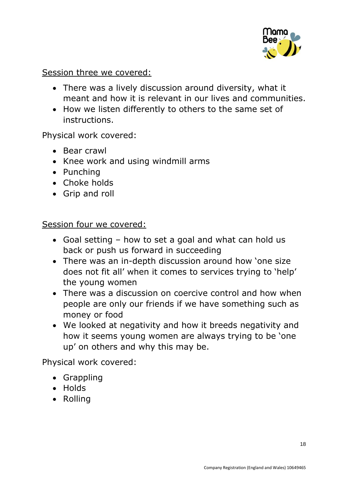

Session three we covered:

- There was a lively discussion around diversity, what it meant and how it is relevant in our lives and communities.
- How we listen differently to others to the same set of instructions.

Physical work covered:

- Bear crawl
- Knee work and using windmill arms
- Punching
- Choke holds
- Grip and roll

Session four we covered:

- Goal setting how to set a goal and what can hold us back or push us forward in succeeding
- There was an in-depth discussion around how 'one size does not fit all' when it comes to services trying to 'help' the young women
- There was a discussion on coercive control and how when people are only our friends if we have something such as money or food
- We looked at negativity and how it breeds negativity and how it seems young women are always trying to be 'one up' on others and why this may be.

Physical work covered:

- Grappling
- Holds
- Rolling